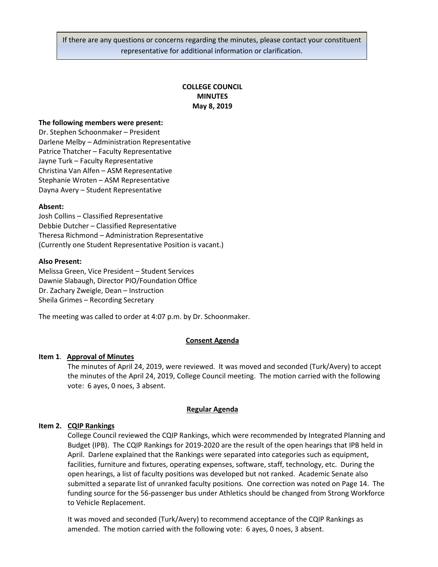If there are any questions or concerns regarding the minutes, please contact your constituent representative for additional information or clarification.

# **COLLEGE COUNCIL MINUTES May 8, 2019**

#### **The following members were present:**

Dr. Stephen Schoonmaker – President Darlene Melby – Administration Representative Patrice Thatcher – Faculty Representative Jayne Turk – Faculty Representative Christina Van Alfen – ASM Representative Stephanie Wroten – ASM Representative Dayna Avery – Student Representative

## **Absent:**

Josh Collins – Classified Representative Debbie Dutcher – Classified Representative Theresa Richmond – Administration Representative (Currently one Student Representative Position is vacant.)

#### **Also Present:**

Melissa Green, Vice President – Student Services Dawnie Slabaugh, Director PIO/Foundation Office Dr. Zachary Zweigle, Dean – Instruction Sheila Grimes – Recording Secretary

The meeting was called to order at 4:07 p.m. by Dr. Schoonmaker.

## **Consent Agenda**

## **Item 1**. **Approval of Minutes**

The minutes of April 24, 2019, were reviewed. It was moved and seconded (Turk/Avery) to accept the minutes of the April 24, 2019, College Council meeting. The motion carried with the following vote: 6 ayes, 0 noes, 3 absent.

#### **Regular Agenda**

## **Item 2. CQIP Rankings**

College Council reviewed the CQIP Rankings, which were recommended by Integrated Planning and Budget (IPB). The CQIP Rankings for 2019-2020 are the result of the open hearings that IPB held in April. Darlene explained that the Rankings were separated into categories such as equipment, facilities, furniture and fixtures, operating expenses, software, staff, technology, etc. During the open hearings, a list of faculty positions was developed but not ranked. Academic Senate also submitted a separate list of unranked faculty positions. One correction was noted on Page 14. The funding source for the 56-passenger bus under Athletics should be changed from Strong Workforce to Vehicle Replacement.

It was moved and seconded (Turk/Avery) to recommend acceptance of the CQIP Rankings as amended. The motion carried with the following vote: 6 ayes, 0 noes, 3 absent.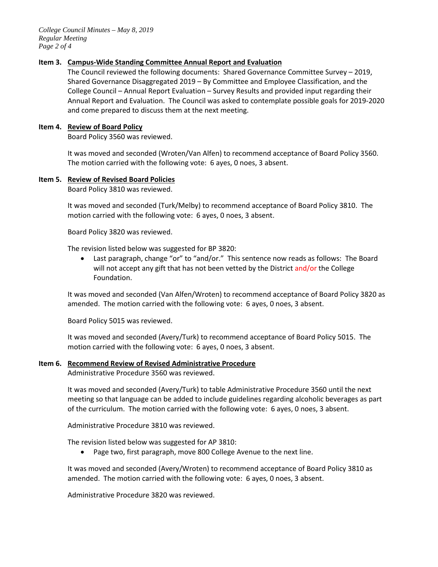*College Council Minutes – May 8, 2019 Regular Meeting Page 2 of 4*

## **Item 3. Campus-Wide Standing Committee Annual Report and Evaluation**

The Council reviewed the following documents: Shared Governance Committee Survey – 2019, Shared Governance Disaggregated 2019 – By Committee and Employee Classification, and the College Council – Annual Report Evaluation – Survey Results and provided input regarding their Annual Report and Evaluation. The Council was asked to contemplate possible goals for 2019-2020 and come prepared to discuss them at the next meeting.

#### **Item 4. Review of Board Policy**

Board Policy 3560 was reviewed.

It was moved and seconded (Wroten/Van Alfen) to recommend acceptance of Board Policy 3560. The motion carried with the following vote: 6 ayes, 0 noes, 3 absent.

## **Item 5. Review of Revised Board Policies**

Board Policy 3810 was reviewed.

It was moved and seconded (Turk/Melby) to recommend acceptance of Board Policy 3810. The motion carried with the following vote: 6 ayes, 0 noes, 3 absent.

Board Policy 3820 was reviewed.

The revision listed below was suggested for BP 3820:

• Last paragraph, change "or" to "and/or." This sentence now reads as follows: The Board will not accept any gift that has not been vetted by the District and/or the College Foundation.

It was moved and seconded (Van Alfen/Wroten) to recommend acceptance of Board Policy 3820 as amended. The motion carried with the following vote: 6 ayes, 0 noes, 3 absent.

Board Policy 5015 was reviewed.

It was moved and seconded (Avery/Turk) to recommend acceptance of Board Policy 5015. The motion carried with the following vote: 6 ayes, 0 noes, 3 absent.

#### **Item 6. Recommend Review of Revised Administrative Procedure**

Administrative Procedure 3560 was reviewed.

It was moved and seconded (Avery/Turk) to table Administrative Procedure 3560 until the next meeting so that language can be added to include guidelines regarding alcoholic beverages as part of the curriculum. The motion carried with the following vote: 6 ayes, 0 noes, 3 absent.

Administrative Procedure 3810 was reviewed.

The revision listed below was suggested for AP 3810:

Page two, first paragraph, move 800 College Avenue to the next line.

It was moved and seconded (Avery/Wroten) to recommend acceptance of Board Policy 3810 as amended. The motion carried with the following vote: 6 ayes, 0 noes, 3 absent.

Administrative Procedure 3820 was reviewed.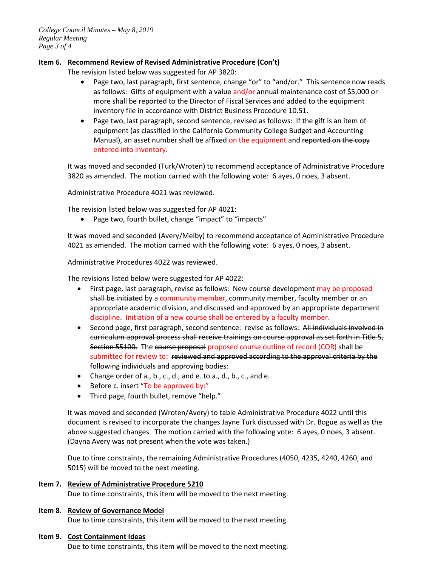## **Item 6. Recommend Review of Revised Administrative Procedure (Con't)**

The revision listed below was suggested for AP 3820:

- Page two, last paragraph, first sentence, change "or" to "and/or." This sentence now reads as follows: Gifts of equipment with a value and/or annual maintenance cost of \$5,000 or more shall be reported to the Director of Fiscal Services and added to the equipment inventory file in accordance with District Business Procedure 10.51.
- Page two, last paragraph, second sentence, revised as follows: If the gift is an item of equipment (as classified in the California Community College Budget and Accounting Manual), an asset number shall be affixed on the equipment and reported on the copy entered into inventory.

It was moved and seconded (Turk/Wroten) to recommend acceptance of Administrative Procedure 3820 as amended. The motion carried with the following vote: 6 ayes, 0 noes, 3 absent.

Administrative Procedure 4021 was reviewed.

The revision listed below was suggested for AP 4021:

• Page two, fourth bullet, change "impact" to "impacts"

It was moved and seconded (Avery/Melby) to recommend acceptance of Administrative Procedure 4021 as amended. The motion carried with the following vote: 6 ayes, 0 noes, 3 absent.

Administrative Procedures 4022 was reviewed.

The revisions listed below were suggested for AP 4022:

- First page, last paragraph, revise as follows: New course development may be proposed shall be initiated by a community member, community member, faculty member or an appropriate academic division, and discussed and approved by an appropriate department discipline. Initiation of a new course shall be entered by a faculty member.
- Second page, first paragraph, second sentence: revise as follows: All individuals involved in curriculum approval process shall receive trainings on course approval as set forth in Title 5, Section 55100. The course proposal proposed course outline of record (COR) shall be submitted for review to: reviewed and approved according to the approval criteria by the following individuals and approving bodies:
- Change order of a., b., c., d., and e. to a., d., b., c., and e.
- Before c. insert "To be approved by:"
- Third page, fourth bullet, remove "help."

It was moved and seconded (Wroten/Avery) to table Administrative Procedure 4022 until this document is revised to incorporate the changes Jayne Turk discussed with Dr. Bogue as well as the above suggested changes. The motion carried with the following vote: 6 ayes, 0 noes, 3 absent. (Dayna Avery was not present when the vote was taken.)

Due to time constraints, the remaining Administrative Procedures (4050, 4235, 4240, 4260, and 5015) will be moved to the next meeting.

#### **Item 7. Review of Administrative Procedure 5210**

Due to time constraints, this item will be moved to the next meeting.

#### **Item 8. Review of Governance Model**

Due to time constraints, this item will be moved to the next meeting.

#### **Item 9. Cost Containment Ideas**

Due to time constraints, this item will be moved to the next meeting.